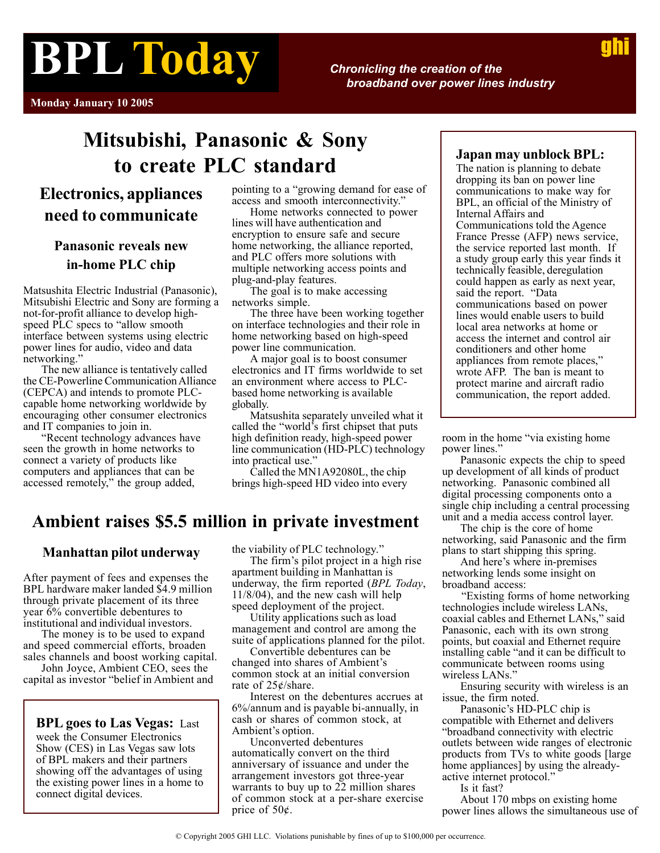# **BPL Today**

*Chronicling the creation of the broadband over power lines industry*

**Monday January 10 2005**

# **Mitsubishi, Panasonic & Sony to create PLC standard**

# **Electronics, appliances need to communicate**

## **Panasonic reveals new in-home PLC chip**

Matsushita Electric Industrial (Panasonic), Mitsubishi Electric and Sony are forming a not-for-profit alliance to develop highspeed PLC specs to "allow smooth interface between systems using electric power lines for audio, video and data networking.'

The new alliance is tentatively called the CE-Powerline Communication Alliance (CEPCA) and intends to promote PLCcapable home networking worldwide by encouraging other consumer electronics and IT companies to join in.

"Recent technology advances have seen the growth in home networks to connect a variety of products like computers and appliances that can be accessed remotely," the group added,

pointing to a "growing demand for ease of access and smooth interconnectivity."

Home networks connected to power lines will have authentication and encryption to ensure safe and secure home networking, the alliance reported, and PLC offers more solutions with multiple networking access points and plug-and-play features.

The goal is to make accessing networks simple.

The three have been working together on interface technologies and their role in home networking based on high-speed power line communication.

A major goal is to boost consumer electronics and IT firms worldwide to set an environment where access to PLCbased home networking is available globally.

Matsushita separately unveiled what it called the "world's first chipset that puts high definition ready, high-speed power line communication (HD-PLC) technology into practical use."

Called the MN1A92080L, the chip brings high-speed HD video into every

## **Ambient raises \$5.5 million in private investment**

#### **Manhattan pilot underway**

After payment of fees and expenses the BPL hardware maker landed \$4.9 million through private placement of its three vear  $6\%$  convertible debentures to institutional and individual investors.

The money is to be used to expand and speed commercial efforts, broaden sales channels and boost working capital.

John Joyce, Ambient CEO, sees the capital as investor "belief in Ambient and

**BPL goes to Las Vegas:** Last week the Consumer Electronics Show (CES) in Las Vegas saw lots of BPL makers and their partners showing off the advantages of using the existing power lines in a home to connect digital devices.

the viability of PLC technology."

The firm's pilot project in a high rise apartment building in Manhattan is underway, the firm reported (*BPL Today*, 11/8/04), and the new cash will help speed deployment of the project.

Utility applications such as load management and control are among the suite of applications planned for the pilot.

Convertible debentures can be changed into shares of Ambient's common stock at an initial conversion rate of 25¢/share.

Interest on the debentures accrues at 6%/annum and is payable bi-annually, in cash or shares of common stock, at Ambient's option.

Unconverted debentures automatically convert on the third anniversary of issuance and under the arrangement investors got three-year warrants to buy up to 22 million shares of common stock at a per-share exercise price of 50¢.

#### **Japan may unblock BPL:**

The nation is planning to debate dropping its ban on power line communications to make way for BPL, an official of the Ministry of Internal Affairs and Communications told the Agence France Presse (AFP) news service, the service reported last month. If a study group early this year finds it technically feasible, deregulation could happen as early as next year, said the report. "Data communications based on power lines would enable users to build local area networks at home or access the internet and control air conditioners and other home appliances from remote places," wrote AFP. The ban is meant to protect marine and aircraft radio communication, the report added.

room in the home "via existing home power lines."

Panasonic expects the chip to speed up development of all kinds of product networking. Panasonic combined all digital processing components onto a single chip including a central processing unit and a media access control layer.

The chip is the core of home networking, said Panasonic and the firm plans to start shipping this spring.

And here's where in-premises networking lends some insight on broadband access:

 "Existing forms of home networking technologies include wireless LANs, coaxial cables and Ethernet LANs," said Panasonic, each with its own strong points, but coaxial and Ethernet require installing cable "and it can be difficult to communicate between rooms using wireless LANs."

Ensuring security with wireless is an issue, the firm noted.

Panasonic's HD-PLC chip is compatible with Ethernet and delivers "broadband connectivity with electric outlets between wide ranges of electronic products from TVs to white goods [large home appliances] by using the alreadyactive internet protocol."

Is it fast?

About 170 mbps on existing home power lines allows the simultaneous use of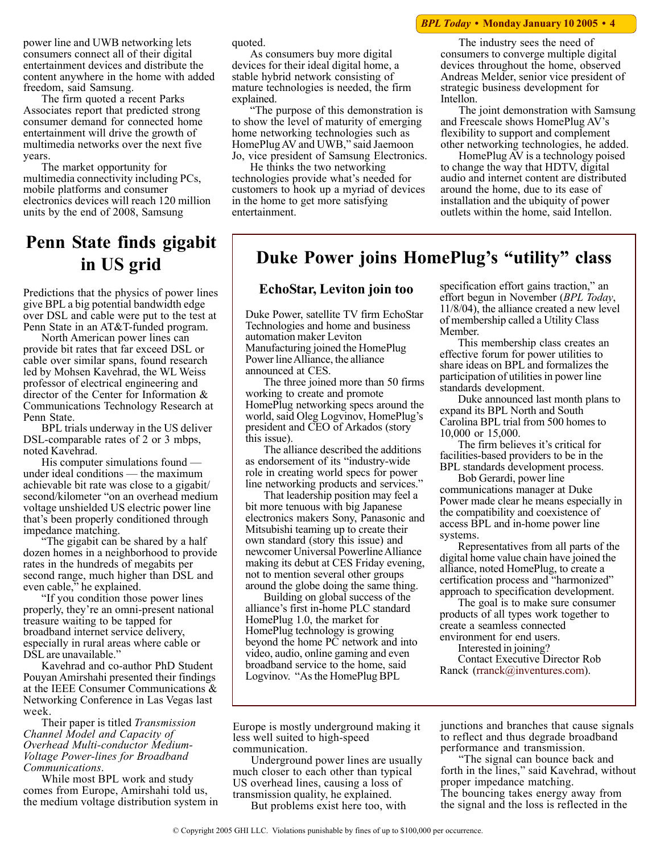#### *BPL Today* **• Monday January 10 2005 • 4**

power line and UWB networking lets consumers connect all of their digital entertainment devices and distribute the content anywhere in the home with added freedom, said Samsung.

The firm quoted a recent Parks Associates report that predicted strong consumer demand for connected home entertainment will drive the growth of multimedia networks over the next five years.

The market opportunity for multimedia connectivity including PCs, mobile platforms and consumer electronics devices will reach 120 million units by the end of 2008, Samsung

# **Penn State finds gigabit in US grid**

Predictions that the physics of power lines give BPL a big potential bandwidth edge over DSL and cable were put to the test at Penn State in an AT&T-funded program.

North American power lines can provide bit rates that far exceed DSL or cable over similar spans, found research led by Mohsen Kavehrad, the WL Weiss professor of electrical engineering and director of the Center for Information & Communications Technology Research at Penn State.

BPL trials underway in the US deliver DSL-comparable rates of 2 or 3 mbps, noted Kavehrad.

His computer simulations found under ideal conditions — the maximum achievable bit rate was close to a gigabit/ second/kilometer "on an overhead medium voltage unshielded US electric power line that's been properly conditioned through impedance matching.

"The gigabit can be shared by a half dozen homes in a neighborhood to provide rates in the hundreds of megabits per second range, much higher than DSL and even cable," he explained.

"If you condition those power lines properly, they're an omni-present national treasure waiting to be tapped for broadband internet service delivery, especially in rural areas where cable or DSL are unavailable.'

Kavehrad and co-author PhD Student Pouyan Amirshahi presented their findings at the IEEE Consumer Communications & Networking Conference in Las Vegas last week.

Their paper is titled *Transmission Channel Model and Capacity of Overhead Multi-conductor Medium-Voltage Power-lines for Broadband Communications*.

While most BPL work and study comes from Europe, Amirshahi told us, the medium voltage distribution system in quoted.

As consumers buy more digital devices for their ideal digital home, a stable hybrid network consisting of mature technologies is needed, the firm explained.

"The purpose of this demonstration is to show the level of maturity of emerging home networking technologies such as HomePlug AV and UWB," said Jaemoon Jo, vice president of Samsung Electronics.

He thinks the two networking technologies provide what's needed for customers to hook up a myriad of devices in the home to get more satisfying entertainment.

The industry sees the need of consumers to converge multiple digital devices throughout the home, observed Andreas Melder, senior vice president of strategic business development for Intellon.

The joint demonstration with Samsung and Freescale shows HomePlug AV's flexibility to support and complement other networking technologies, he added.

HomePlug AV is a technology poised to change the way that HDTV, digital audio and internet content are distributed around the home, due to its ease of installation and the ubiquity of power outlets within the home, said Intellon.

## **Duke Power joins HomePlug's "utility" class**

#### **EchoStar, Leviton join too**

Duke Power, satellite TV firm EchoStar Technologies and home and business automation maker Leviton Manufacturing joined the HomePlug Power line Alliance, the alliance announced at CES.

The three joined more than 50 firms working to create and promote HomePlug networking specs around the world, said Oleg Logvinov, HomePlug's president and CEO of Arkados (story this issue).

The alliance described the additions as endorsement of its "industry-wide role in creating world specs for power line networking products and services."

That leadership position may feel a bit more tenuous with big Japanese electronics makers Sony, Panasonic and Mitsubishi teaming up to create their own standard (story this issue) and newcomer Universal Powerline Alliance making its debut at CES Friday evening, not to mention several other groups around the globe doing the same thing.

Building on global success of the alliance's first in-home PLC standard HomePlug 1.0, the market for HomePlug technology is growing beyond the home PC network and into video, audio, online gaming and even broadband service to the home, said Logvinov. "As the HomePlug BPL

specification effort gains traction," an effort begun in November (*BPL Today*, 11/8/04), the alliance created a new level of membership called a Utility Class Member.

This membership class creates an effective forum for power utilities to share ideas on BPL and formalizes the participation of utilities in power line standards development.

Duke announced last month plans to expand its BPL North and South Carolina BPL trial from 500 homes to 10,000 or 15,000.

The firm believes it's critical for facilities-based providers to be in the BPL standards development process.

Bob Gerardi, power line communications manager at Duke Power made clear he means especially in the compatibility and coexistence of access BPL and in-home power line systems.

Representatives from all parts of the digital home value chain have joined the alliance, noted HomePlug, to create a certification process and "harmonized" approach to specification development.

The goal is to make sure consumer products of all types work together to create a seamless connected environment for end users.

Interested in joining?

Contact Executive Director Rob Ranck [\(rranck@inventures.com\)](mailto:  rranck@inventures.com).

Europe is mostly underground making it less well suited to high-speed communication.

Underground power lines are usually much closer to each other than typical US overhead lines, causing a loss of transmission quality, he explained.

But problems exist here too, with

junctions and branches that cause signals to reflect and thus degrade broadband performance and transmission.

"The signal can bounce back and forth in the lines," said Kavehrad, without proper impedance matching. The bouncing takes energy away from the signal and the loss is reflected in the